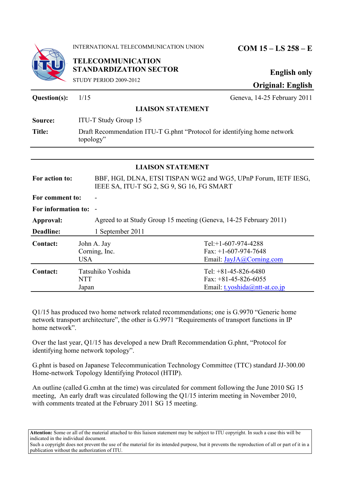

INTERNATIONAL TELECOMMUNICATION UNION **COM 15 – LS 258 – E**

**English only Original: English**

| STUDY PERIOD 2009-2012 |  |
|------------------------|--|
|                        |  |

**TELECOMMUNICATION**

**STANDARDIZATION SECTOR**

## **Question(s):**  $1/15$  Geneva, 14-25 February 2011 **LIAISON STATEMENT Source:** ITU-T Study Group 15 **Title:** Draft Recommendation ITU-T G.phnt "Protocol for identifying home network topology" **LIAISON STATEMENT For action to:** BBF, HGI, DLNA, ETSI TISPAN WG2 and WG5, UPnP Forum, IETF IESG, IEEE SA, ITU-T SG 2, SG 9, SG 16, FG SMART For comment to: **For information to:** - **Approval:** Agreed to at Study Group 15 meeting (Geneva, 14-25 February 2011) **Deadline:** 1 September 2011 **Contact:** John A. Jay Corning, Inc. USA Tel:+1-607-974-4288 Fax: +1-607-974-7648 Email:<JayJA@Corning.com> **Contact:** Tatsuhiko Yoshida **NTT** Japan Tel: +81-45-826-6480 Fax:  $+81-45-826-6055$ Email:<t.yoshida@ntt-at.co.jp>

Q1/15 has produced two home network related recommendations; one is G.9970 "Generic home network transport architecture", the other is G.9971 "Requirements of transport functions in IP home network".

Over the last year, Q1/15 has developed a new Draft Recommendation G.phnt, "Protocol for identifying home network topology".

G.phnt is based on Japanese Telecommunication Technology Committee (TTC) standard JJ-300.00 Home-network Topology Identifying Protocol (HTIP).

An outline (called G.cmhn at the time) was circulated for comment following the June 2010 SG 15 meeting, An early draft was circulated following the Q1/15 interim meeting in November 2010, with comments treated at the February 2011 SG 15 meeting.

**Attention:** Some or all of the material attached to this liaison statement may be subject to ITU copyright. In such a case this will be indicated in the individual document.

Such a copyright does not prevent the use of the material for its intended purpose, but it prevents the reproduction of all or part of it in a publication without the authorization of ITU.